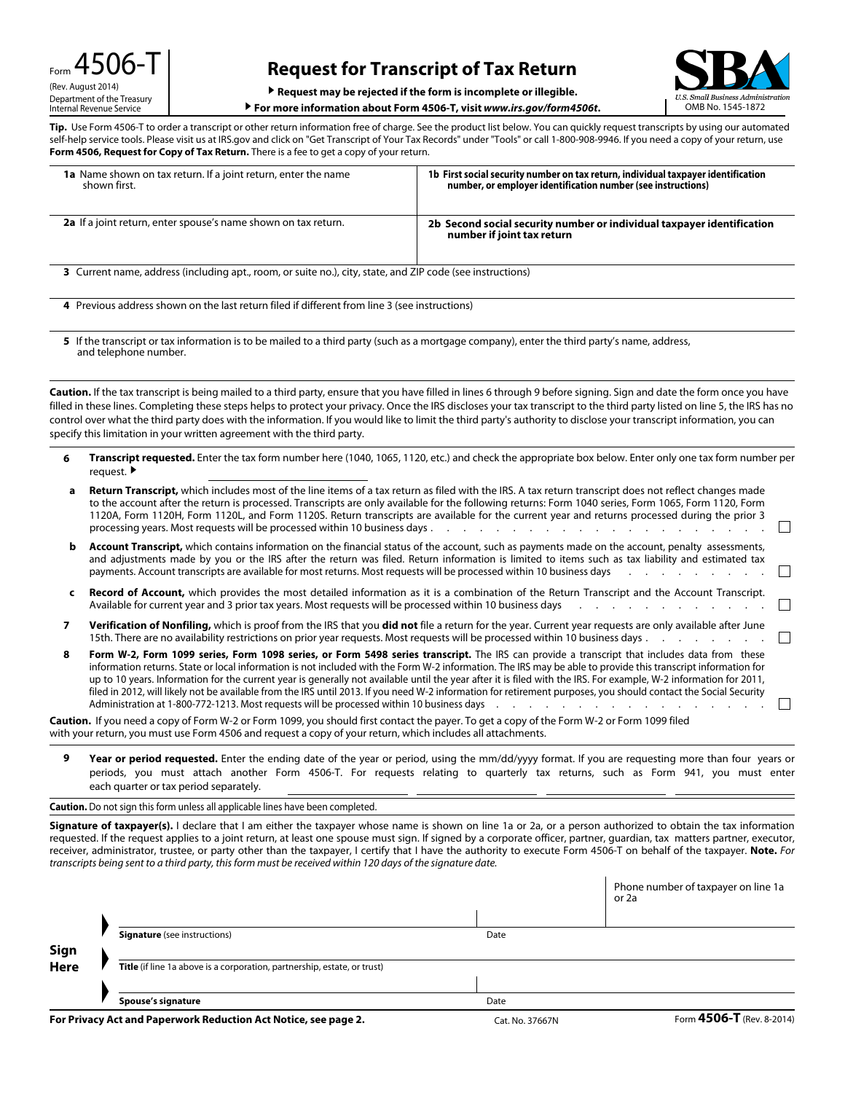# **Request for Transcript of Tax Return**

Administration

▶ **Request may be rejected if the form is incomplete or illegible.**

▶ For more information about Form 4506-T, visit *www.irs.gov/form4506t*. △ △ OMB No. 1545-1872

**Tip.** Use Form 4506-T to order a transcript or other return information free of charge. See the product list below. You can quickly request transcripts by using our automated self-help service tools. Please visit us at IRS.gov and click on "Get Transcript of Your Tax Records" under "Tools" or call 1-800-908-9946. If you need a copy of your return, use **Form 4506, Request for Copy of Tax Return.** There is a fee to get a copy of your return.

| <b>1a</b> Name shown on tax return. If a joint return, enter the name<br>shown first.                                                                                 | 1b First social security number on tax return, individual taxpayer identification<br>number, or employer identification number (see instructions)                                                                                                                                                                                                            |  |  |  |
|-----------------------------------------------------------------------------------------------------------------------------------------------------------------------|--------------------------------------------------------------------------------------------------------------------------------------------------------------------------------------------------------------------------------------------------------------------------------------------------------------------------------------------------------------|--|--|--|
| <b>2a</b> If a joint return, enter spouse's name shown on tax return.                                                                                                 | 2b Second social security number or individual taxpayer identification<br>number if joint tax return                                                                                                                                                                                                                                                         |  |  |  |
| 3 Current name, address (including apt., room, or suite no.), city, state, and ZIP code (see instructions)                                                            |                                                                                                                                                                                                                                                                                                                                                              |  |  |  |
| 4 Previous address shown on the last return filed if different from line 3 (see instructions)                                                                         |                                                                                                                                                                                                                                                                                                                                                              |  |  |  |
| 5 If the transcript or tax information is to be mailed to a third party (such as a mortgage company), enter the third party's name, address,<br>and telephone number. |                                                                                                                                                                                                                                                                                                                                                              |  |  |  |
|                                                                                                                                                                       | <b>Caution.</b> If the tax transcript is being mailed to a third party, ensure that you have filled in lines 6 through 9 before signing. Sign and date the form once you have<br>filled in these lines. Completing these stens helps to protect your privacy. Once the IRS discloses your tax transcript to the third party listed on line 5, the IRS has no |  |  |  |

Completing these steps helps to protect your privacy. Once the IRS discloses your tax transcript to the third party listed on line 5, the IRS has no control over what the third party does with the information. If you would like to limit the third party's authority to disclose your transcript information, you can specify this limitation in your written agreement with the third party.

**6 Transcript requested.** Enter the tax form number here (1040, 1065, 1120, etc.) and check the appropriate box below. Enter only one tax form number per request. ▶

| a | <b>Return Transcript,</b> which includes most of the line items of a tax return as filed with the IRS. A tax return transcript does not reflect changes made<br>to the account after the return is processed. Transcripts are only available for the following returns: Form 1040 series, Form 1065, Form 1120, Form<br>1120A, Form 1120H, Form 1120L, and Form 1120S. Return transcripts are available for the current year and returns processed during the prior 3<br>processing years. Most requests will be processed within 10 business days.                                                                                                                                                                                                                                                                                                                    |  |
|---|------------------------------------------------------------------------------------------------------------------------------------------------------------------------------------------------------------------------------------------------------------------------------------------------------------------------------------------------------------------------------------------------------------------------------------------------------------------------------------------------------------------------------------------------------------------------------------------------------------------------------------------------------------------------------------------------------------------------------------------------------------------------------------------------------------------------------------------------------------------------|--|
|   | <b>Account Transcript,</b> which contains information on the financial status of the account, such as payments made on the account, penalty assessments,<br>and adjustments made by you or the IRS after the return was filed. Return information is limited to items such as tax liability and estimated tax<br>payments. Account transcripts are available for most returns. Most requests will be processed within 10 business days                                                                                                                                                                                                                                                                                                                                                                                                                                 |  |
|   | <b>Record of Account,</b> which provides the most detailed information as it is a combination of the Return Transcript and the Account Transcript.<br>Available for current year and 3 prior tax years. Most requests will be processed within 10 business days<br>$\mathbf{r}$ , and $\mathbf{r}$ , and $\mathbf{r}$ , and $\mathbf{r}$ , and $\mathbf{r}$ , and $\mathbf{r}$                                                                                                                                                                                                                                                                                                                                                                                                                                                                                         |  |
|   | Verification of Nonfiling, which is proof from the IRS that you did not file a return for the year. Current year requests are only available after June                                                                                                                                                                                                                                                                                                                                                                                                                                                                                                                                                                                                                                                                                                                |  |
| 8 | Form W-2, Form 1099 series, Form 1098 series, or Form 5498 series transcript. The IRS can provide a transcript that includes data from these<br>information returns. State or local information is not included with the Form W-2 information. The IRS may be able to provide this transcript information for<br>up to 10 years. Information for the current year is generally not available until the year after it is filed with the IRS. For example, W-2 information for 2011,<br>filed in 2012, will likely not be available from the IRS until 2013. If you need W-2 information for retirement purposes, you should contact the Social Security<br>Administration at 1-800-772-1213. Most requests will be processed within 10 business days<br>the contract of the contract of the contract of the contract of the contract of the contract of the contract of |  |
|   | <b>Caution.</b> If you need a copy of Form W-2 or Form 1099, you should first contact the payer. To get a copy of the Form W-2 or Form 1099 filed<br>with your return, you must use Form 4506 and request a copy of your return, which includes all attachments.                                                                                                                                                                                                                                                                                                                                                                                                                                                                                                                                                                                                       |  |

**9 Year or period requested.** Enter the ending date of the year or period, using the mm/dd/yyyy format. If you are requesting more than four years or periods, you must attach another Form 4506-T. For requests relating to quarterly tax returns, such as Form 941, you must enter each quarter or tax period separately.

#### **Caution.** Do not sign this form unless all applicable lines have been completed.

Signature of taxpayer(s). I declare that I am either the taxpayer whose name is shown on line 1a or 2a, or a person authorized to obtain the tax information requested. If the request applies to a joint return, at least one spouse must sign. If signed by a corporate officer, partner, guardian, tax matters partner, executor, receiver, administrator, trustee, or party other than the taxpayer, I certify that I have the authority to execute Form 4506-T on behalf of the taxpayer. **Note.** *For transcripts being sent to a third party, this form must be received within 120 days of the signature date.*

|             |                                                                          |                 | Phone number of taxpayer on line 1a<br>or 2a |
|-------------|--------------------------------------------------------------------------|-----------------|----------------------------------------------|
|             |                                                                          |                 |                                              |
|             | <b>Signature</b> (see instructions)                                      | Date            |                                              |
| Sign        |                                                                          |                 |                                              |
| <b>Here</b> | Title (if line 1a above is a corporation, partnership, estate, or trust) |                 |                                              |
|             |                                                                          |                 |                                              |
|             | Spouse's signature                                                       | Date            |                                              |
|             | For Privacy Act and Paperwork Reduction Act Notice, see page 2.          | Cat. No. 37667N | Form 4506-T (Rev. 8-2014)                    |

 $\overline{1}$